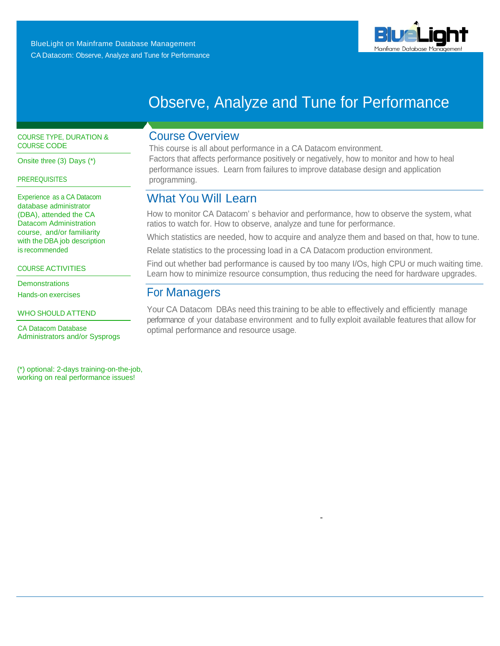

# Observe, Analyze and Tune for Performance

## COURSE TYPE, DURATION & COURSE CODE

Onsite three (3) Days (\*)

### **PREREQUISITES**

Experience as a CA Datacom database administrator (DBA), attended the CA Datacom Administration course, and/or familiarity with the DBA job description is recommended

COURSE ACTIVITIES

**Demonstrations** Hands-on exercises

WHO SHOULD ATTEND

CA Datacom Database Administrators and/or Sysprogs

 (\*) optional: 2-days training-on-the-job, working on real performance issues!

## Course Overview

This course is all about performance in a CA Datacom environment. Factors that affects performance positively or negatively, how to monitor and how to heal performance issues. Learn from failures to improve database design and application programming.

## What You Will Learn

How to monitor CA Datacom' s behavior and performance, how to observe the system, what ratios to watch for. How to observe, analyze and tune for performance.

Which statistics are needed, how to acquire and analyze them and based on that, how to tune.

Relate statistics to the processing load in a CA Datacom production environment.

Find out whether bad performance is caused by too many I/Os, high CPU or much waiting time. Learn how to minimize resource consumption, thus reducing the need for hardware upgrades.

## For Managers

Your CA Datacom DBAs need this training to be able to effectively and efficiently manage performance of your database environment and to fully exploit available features that allow for optimal performance and resource usage.

-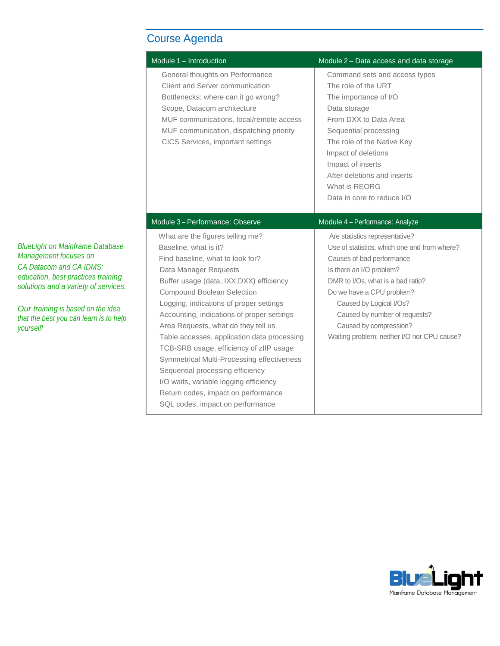# Course Agenda

| Module 1 - Introduction                                                                                                                                                                                                                                                                                                                                                                                                                                                                                                                                                                                                           | Module 2 - Data access and data storage                                                                                                                                                                                                                                                                                                        |
|-----------------------------------------------------------------------------------------------------------------------------------------------------------------------------------------------------------------------------------------------------------------------------------------------------------------------------------------------------------------------------------------------------------------------------------------------------------------------------------------------------------------------------------------------------------------------------------------------------------------------------------|------------------------------------------------------------------------------------------------------------------------------------------------------------------------------------------------------------------------------------------------------------------------------------------------------------------------------------------------|
| General thoughts on Performance<br>Client and Server communication<br>Bottlenecks: where can it go wrong?<br>Scope, Datacom architecture<br>MUF communications, local/remote access<br>MUF communication, dispatching priority<br>CICS Services, important settings                                                                                                                                                                                                                                                                                                                                                               | Command sets and access types<br>The role of the URT<br>The importance of I/O<br>Data storage<br>From DXX to Data Area<br>Sequential processing<br>The role of the Native Key<br>Impact of deletions<br>Impact of inserts<br>After deletions and inserts<br>What is REORG<br>Data in core to reduce I/O                                        |
| Module 3 - Performance: Observe                                                                                                                                                                                                                                                                                                                                                                                                                                                                                                                                                                                                   | Module 4 - Performance: Analyze                                                                                                                                                                                                                                                                                                                |
| What are the figures telling me?<br>Baseline, what is it?<br>Find baseline, what to look for?<br>Data Manager Requests<br>Buffer usage (data, IXX, DXX) efficiency<br>Compound Boolean Selection<br>Logging, indications of proper settings<br>Accounting, indications of proper settings<br>Area Requests, what do they tell us<br>Table accesses, application data processing<br>TCB-SRB usage, efficiency of zIIP usage<br>Symmetrical Multi-Processing effectiveness<br>Sequential processing efficiency<br>I/O waits, variable logging efficiency<br>Return codes, impact on performance<br>SQL codes, impact on performance | Are statistics representative?<br>Use of statistics, which one and from where?<br>Causes of bad performance<br>Is there an I/O problem?<br>DMR to I/Os, what is a bad ratio?<br>Do we have a CPU problem?<br>Caused by Logical I/Os?<br>Caused by number of requests?<br>Caused by compression?<br>Waiting problem: neither I/O nor CPU cause? |

*BlueLight on Mainframe Database Management focuses on CA Datacom and CA IDMS: education, best practices training solutions and a variety of services.*

*Our training is based on the idea that the best you can learn is to help yourself!*